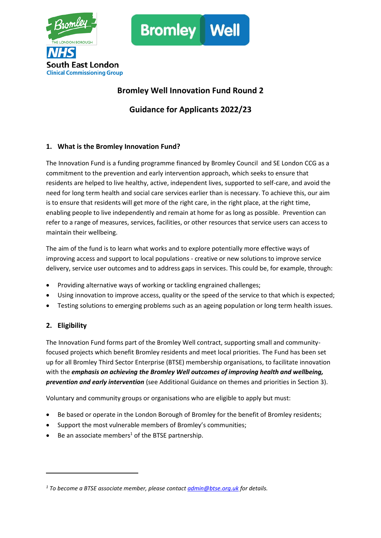



# **Bromley Well Innovation Fund Round 2**

**Guidance for Applicants 2022/23**

# **1. What is the Bromley Innovation Fund?**

The Innovation Fund is a funding programme financed by Bromley Council and SE London CCG as a commitment to the prevention and early intervention approach, which seeks to ensure that residents are helped to live healthy, active, independent lives, supported to self-care, and avoid the need for long term health and social care services earlier than is necessary. To achieve this, our aim is to ensure that residents will get more of the right care, in the right place, at the right time, enabling people to live independently and remain at home for as long as possible. Prevention can refer to a range of measures, services, facilities, or other resources that service users can access to maintain their wellbeing.

The aim of the fund is to learn what works and to explore potentially more effective ways of improving access and support to local populations - creative or new solutions to improve service delivery, service user outcomes and to address gaps in services. This could be, for example, through:

- Providing alternative ways of working or tackling engrained challenges;
- Using innovation to improve access, quality or the speed of the service to that which is expected;
- Testing solutions to emerging problems such as an ageing population or long term health issues.

# **2. Eligibility**

The Innovation Fund forms part of the Bromley Well contract, supporting small and communityfocused projects which benefit Bromley residents and meet local priorities. The Fund has been set up for all Bromley Third Sector Enterprise (BTSE) membership organisations, to facilitate innovation with the *emphasis on achieving the Bromley Well outcomes of improving health and wellbeing, prevention and early intervention* (see Additional Guidance on themes and priorities in Section 3).

Voluntary and community groups or organisations who are eligible to apply but must:

- Be based or operate in the London Borough of Bromley for the benefit of Bromley residents;
- Support the most vulnerable members of Bromley's communities;
- Be an associate members<sup>1</sup> of the BTSE partnership.

*<sup>1</sup> To become a BTSE associate member, please contact [admin@btse.org.uk](mailto:admin@btse.org.uk) for details.*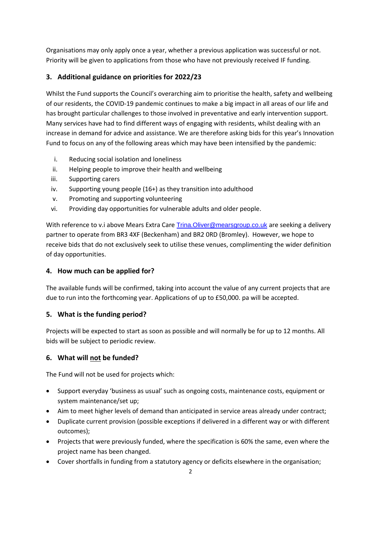Organisations may only apply once a year, whether a previous application was successful or not. Priority will be given to applications from those who have not previously received IF funding.

# **3. Additional guidance on priorities for 2022/23**

Whilst the Fund supports the Council's overarching aim to prioritise the health, safety and wellbeing of our residents, the COVID-19 pandemic continues to make a big impact in all areas of our life and has brought particular challenges to those involved in preventative and early intervention support. Many services have had to find different ways of engaging with residents, whilst dealing with an increase in demand for advice and assistance. We are therefore asking bids for this year's Innovation Fund to focus on any of the following areas which may have been intensified by the pandemic:

- i. Reducing social isolation and loneliness
- ii. Helping people to improve their health and wellbeing
- iii. Supporting carers
- iv. Supporting young people (16+) as they transition into adulthood
- v. Promoting and supporting volunteering
- vi. Providing day opportunities for vulnerable adults and older people.

With reference to v.i above Mears Extra Care Trina. Oliver@mearsgroup.co.uk are seeking a delivery partner to operate from BR3 4XF (Beckenham) and BR2 0RD (Bromley). However, we hope to receive bids that do not exclusively seek to utilise these venues, complimenting the wider definition of day opportunities.

## **4. How much can be applied for?**

The available funds will be confirmed, taking into account the value of any current projects that are due to run into the forthcoming year. Applications of up to £50,000. pa will be accepted.

## **5. What is the funding period?**

Projects will be expected to start as soon as possible and will normally be for up to 12 months. All bids will be subject to periodic review.

# **6. What will not be funded?**

The Fund will not be used for projects which:

- Support everyday 'business as usual' such as ongoing costs, maintenance costs, equipment or system maintenance/set up;
- Aim to meet higher levels of demand than anticipated in service areas already under contract;
- Duplicate current provision (possible exceptions if delivered in a different way or with different outcomes);
- Projects that were previously funded, where the specification is 60% the same, even where the project name has been changed.
- Cover shortfalls in funding from a statutory agency or deficits elsewhere in the organisation;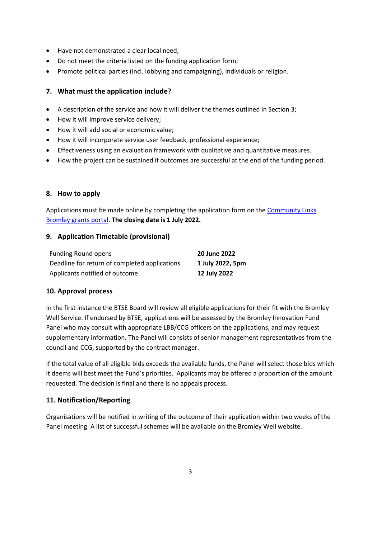- Have not demonstrated a clear local need;
- Do not meet the criteria listed on the funding application form;
- Promote political parties (incl. lobbying and campaigning), individuals or religion.

## **7. What must the application include?**

- A description of the service and how it will deliver the themes outlined in Section 3;
- How it will improve service delivery;
- How it will add social or economic value;
- How it will incorporate service user feedback, professional experience;
- Effectiveness using an evaluation framework with qualitative and quantitative measures.
- How the project can be sustained if outcomes are successful at the end of the funding period.

## **8. How to apply**

Applications must be made online by completing the application form on th[e Community Links](https://communitylinksbromley.awardsplatform.com/) [Bromley grants](https://communitylinksbromley.awardsplatform.com/) portal. **The closing date is 1 July 2022.**

## **9. Application Timetable (provisional)**

| <b>Funding Round opens</b>                    | 20 June 2022     |
|-----------------------------------------------|------------------|
| Deadline for return of completed applications | 1 July 2022, 5pm |
| Applicants notified of outcome                | 12 July 2022     |

## **10. Approval process**

In the first instance the BTSE Board will review all eligible applications for their fit with the Bromley Well Service. If endorsed by BTSE, applications will be assessed by the Bromley Innovation Fund Panel who may consult with appropriate LBB/CCG officers on the applications, and may request supplementary information. The Panel will consists of senior management representatives from the council and CCG, supported by the contract manager.

If the total value of all eligible bids exceeds the available funds, the Panel will select those bids which it deems will best meet the Fund's priorities. Applicants may be offered a proportion of the amount requested. The decision is final and there is no appeals process.

# **11. Notification/Reporting**

Organisations will be notified in writing of the outcome of their application within two weeks of the Panel meeting. A list of successful schemes will be available on the Bromley Well website.